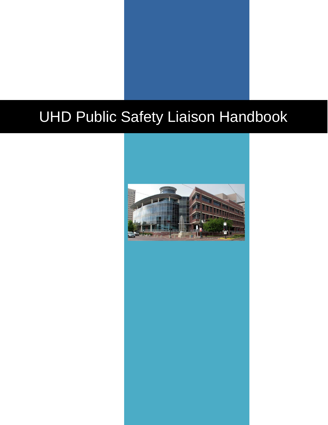# UHD Public Safety Liaison Handbook

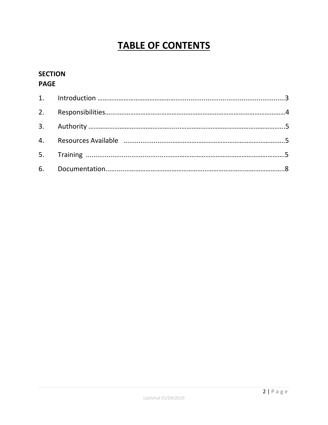# **TABLE OF CONTENTS**

# **SECTION PAGE**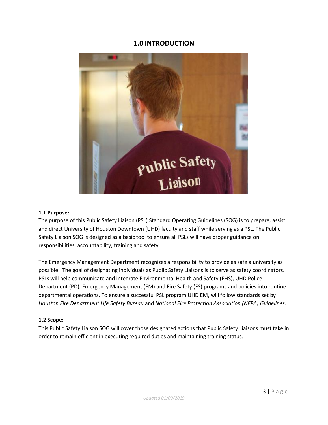### **1.0 INTRODUCTION**



#### **1.1 Purpose:**

The purpose of this Public Safety Liaison (PSL) Standard Operating Guidelines (SOG) is to prepare, assist and direct University of Houston Downtown (UHD) faculty and staff while serving as a PSL. The Public Safety Liaison SOG is designed as a basic tool to ensure all PSLs will have proper guidance on responsibilities, accountability, training and safety.

The Emergency Management Department recognizes a responsibility to provide as safe a university as possible. The goal of designating individuals as Public Safety Liaisons is to serve as safety coordinators. PSLs will help communicate and integrate Environmental Health and Safety (EHS), UHD Police Department (PD), Emergency Management (EM) and Fire Safety (FS) programs and policies into routine departmental operations. To ensure a successful PSL program UHD EM, will follow standards set by *Houston Fire Department Life Safety Bureau* and *National Fire Protection Association (NFPA) Guidelines.*

#### **1.2 Scope:**

This Public Safety Liaison SOG will cover those designated actions that Public Safety Liaisons must take in order to remain efficient in executing required duties and maintaining training status.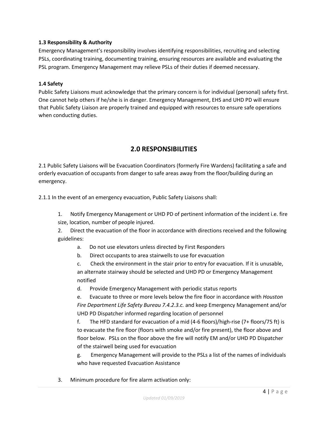#### **1.3 Responsibility & Authority**

Emergency Management's responsibility involves identifying responsibilities, recruiting and selecting PSLs, coordinating training, documenting training, ensuring resources are available and evaluating the PSL program. Emergency Management may relieve PSLs of their duties if deemed necessary.

#### **1.4 Safety**

Public Safety Liaisons must acknowledge that the primary concern is for individual (personal) safety first. One cannot help others if he/she is in danger. Emergency Management, EHS and UHD PD will ensure that Public Safety Liaison are properly trained and equipped with resources to ensure safe operations when conducting duties.

### **2.0 RESPONSIBILITIES**

2.1 Public Safety Liaisons will be Evacuation Coordinators (formerly Fire Wardens) facilitating a safe and orderly evacuation of occupants from danger to safe areas away from the floor/building during an emergency.

2.1.1 In the event of an emergency evacuation, Public Safety Liaisons shall:

- 1. Notify Emergency Management or UHD PD of pertinent information of the incident i.e. fire size, location, number of people injured.
- 2. Direct the evacuation of the floor in accordance with directions received and the following guidelines:
	- a. Do not use elevators unless directed by First Responders
	- b. Direct occupants to area stairwells to use for evacuation
	- c. Check the environment in the stair prior to entry for evacuation. If it is unusable, an alternate stairway should be selected and UHD PD or Emergency Management notified
	- d. Provide Emergency Management with periodic status reports

e. Evacuate to three or more levels below the fire floor in accordance with *Houston Fire Department Life Safety Bureau 7.4.2.3.c.* and keep Emergency Management and/or UHD PD Dispatcher informed regarding location of personnel

f. The HFD standard for evacuation of a mid (4-6 floors)/high-rise (7+ floors/75 ft) is to evacuate the fire floor (floors with smoke and/or fire present), the floor above and floor below. PSLs on the floor above the fire will notify EM and/or UHD PD Dispatcher of the stairwell being used for evacuation

g. Emergency Management will provide to the PSLs a list of the names of individuals who have requested Evacuation Assistance

3. Minimum procedure for fire alarm activation only: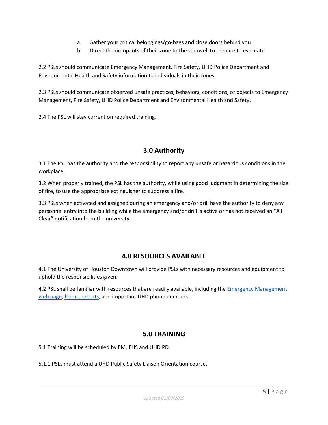- a. Gather your critical belongings/go-bags and close doors behind you
- b. Direct the occupants of their zone to the stairwell to prepare to evacuate

2.2 PSLs should communicate Emergency Management, Fire Safety, UHD Police Department and Environmental Health and Safety information to individuals in their zones.

2.3 PSLs should communicate observed unsafe practices, behaviors, conditions, or objects to Emergency Management, Fire Safety, UHD Police Department and Environmental Health and Safety.

2.4 The PSL will stay current on required training.

# **3.0 Authority**

3.1 The PSL has the authority and the responsibility to report any unsafe or hazardous conditions in the workplace.

3.2 When properly trained, the PSL has the authority, while using good judgment in determining the size of fire, to use the appropriate extinguisher to suppress a fire.

3.3 PSLs when activated and assigned during an emergency and/or drill have the authority to deny any personnel entry into the building while the emergency and/or drill is active or has not received an "All Clear" notification from the university.

# **4.0 RESOURCES AVAILABLE**

4.1 The University of Houston Downtown will provide PSLs with necessary resources and equipment to uphold the responsibilities given.

4.2 PSL shall be familiar with resources that are readily available, including the *Emergency Management* [web page,](https://www.uhd.edu/administration/emergency-management/Pages/Emergency-Management.aspx) [forms, reports,](https://www.uhd.edu/administration/emergency-management/Pages/GUIDES-AND-FORMS.aspx) and important UHD phone numbers.

# **5.0 TRAINING**

5.1 Training will be scheduled by EM, EHS and UHD PD.

5.1.1 PSLs must attend a UHD Public Safety Liaison Orientation course.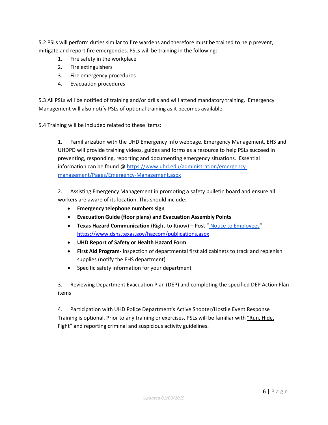5.2 PSLs will perform duties similar to fire wardens and therefore must be trained to help prevent, mitigate and report fire emergencies. PSLs will be training in the following:

- 1. Fire safety in the workplace
- 2. Fire extinguishers
- 3. Fire emergency procedures
- 4. Evacuation procedures

5.3 All PSLs will be notified of training and/or drills and will attend mandatory training. Emergency Management will also notify PSLs of optional training as it becomes available.

5.4 Training will be included related to these items:

1. Familiarization with the UHD Emergency Info webpage. Emergency Management, EHS and UHDPD will provide training videos, guides and forms as a resource to help PSLs succeed in preventing, responding, reporting and documenting emergency situations. Essential information can be found [@](https://www.uhd.edu/administration/emergency-management/Pages/Emergency-Management.aspx) [https://www.uhd.edu/administration/emergency](https://www.uhd.edu/administration/emergency-management/Pages/Emergency-Management.aspx)[management/Pages/Emergency-Management.aspx](https://www.uhd.edu/administration/emergency-management/Pages/Emergency-Management.aspx)

2. Assisting Emergency Management in promoting a safety bulletin board and ensure all workers are aware of its location. This should include:

- **Emergency telephone numbers sign**
- **Evacuation Guide (floor plans) and Evacuation Assembly Points**
- **Texas Hazard Communication** (Right-to-Know) Post " [Notice to Employees](https://www.dshs.texas.gov/hazcom/publications.aspx)" <https://www.dshs.texas.gov/hazcom/publications.aspx>
- **UHD Report of Safety or Health Hazard Form**
- **First Aid Program-** inspection of departmental first aid cabinets to track and replenish supplies (notify the EHS department)
- Specific safety information for your department

3. Reviewing Department Evacuation Plan (DEP) and completing the specified DEP Action Plan items

4. Participation with UHD Police Department's Active Shooter/Hostile Event Response Training is optional. Prior to any training or exercises, PSLs will be familiar with ["Run, Hide,](https://www.youtube.com/watch?v=5mzI_5aj4Vs)  [Fight"](https://www.youtube.com/watch?v=5mzI_5aj4Vs) and reporting criminal and suspicious activity guidelines.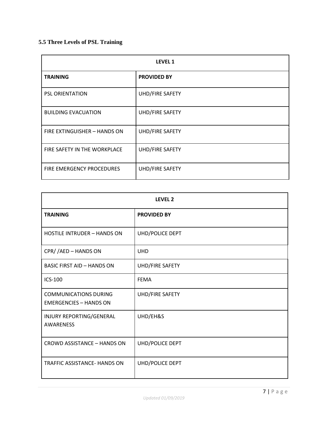### **5.5 Three Levels of PSL Training**

| <b>LEVEL 1</b>               |                    |  |  |
|------------------------------|--------------------|--|--|
| <b>TRAINING</b>              | <b>PROVIDED BY</b> |  |  |
| <b>PSL ORIENTATION</b>       | UHD/FIRE SAFETY    |  |  |
| <b>BUILDING EVACUATION</b>   | UHD/FIRE SAFETY    |  |  |
| FIRE EXTINGUISHER - HANDS ON | UHD/FIRE SAFETY    |  |  |
| FIRE SAFETY IN THE WORKPLACE | UHD/FIRE SAFETY    |  |  |
| FIRE EMERGENCY PROCEDURES    | UHD/FIRE SAFETY    |  |  |

| LEVEL <sub>2</sub>                                            |                    |  |  |
|---------------------------------------------------------------|--------------------|--|--|
| <b>TRAINING</b>                                               | <b>PROVIDED BY</b> |  |  |
| <b>HOSTILE INTRUDER - HANDS ON</b>                            | UHD/POLICE DEPT    |  |  |
| CPR//AED-HANDSON                                              | <b>UHD</b>         |  |  |
| <b>BASIC FIRST AID - HANDS ON</b>                             | UHD/FIRE SAFETY    |  |  |
| ICS-100                                                       | <b>FEMA</b>        |  |  |
| <b>COMMUNICATIONS DURING</b><br><b>EMERGENCIES - HANDS ON</b> | UHD/FIRE SAFETY    |  |  |
| INJURY REPORTING/GENERAL<br><b>AWARENESS</b>                  | UHD/EH&S           |  |  |
| CROWD ASSISTANCE - HANDS ON                                   | UHD/POLICE DEPT    |  |  |
| <b>TRAFFIC ASSISTANCE- HANDS ON</b>                           | UHD/POLICE DEPT    |  |  |